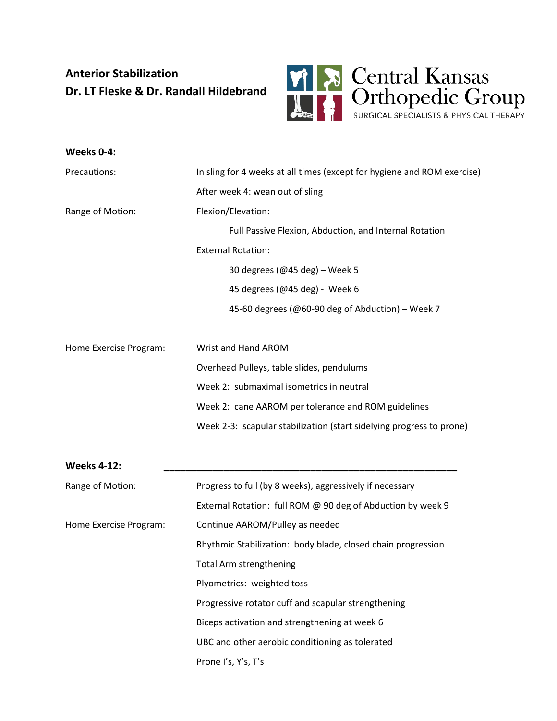## **Anterior Stabilization Dr. LT Fleske & Dr. Randall Hildebrand**



| Weeks 0-4:             |                                                                         |
|------------------------|-------------------------------------------------------------------------|
| Precautions:           | In sling for 4 weeks at all times (except for hygiene and ROM exercise) |
|                        | After week 4: wean out of sling                                         |
| Range of Motion:       | Flexion/Elevation:                                                      |
|                        | Full Passive Flexion, Abduction, and Internal Rotation                  |
|                        | <b>External Rotation:</b>                                               |
|                        | 30 degrees (@45 deg) - Week 5                                           |
|                        | 45 degrees (@45 deg) - Week 6                                           |
|                        | 45-60 degrees (@60-90 deg of Abduction) - Week 7                        |
|                        |                                                                         |
| Home Exercise Program: | Wrist and Hand AROM                                                     |
|                        | Overhead Pulleys, table slides, pendulums                               |
|                        | Week 2: submaximal isometrics in neutral                                |
|                        | Week 2: cane AAROM per tolerance and ROM guidelines                     |
|                        | Week 2-3: scapular stabilization (start sidelying progress to prone)    |
| <b>Weeks 4-12:</b>     |                                                                         |
| Range of Motion:       | Progress to full (by 8 weeks), aggressively if necessary                |
|                        | External Rotation: full ROM @ 90 deg of Abduction by week 9             |
| Home Exercise Program: | Continue AAROM/Pulley as needed                                         |
|                        | Rhythmic Stabilization: body blade, closed chain progression            |
|                        | <b>Total Arm strengthening</b>                                          |
|                        | Plyometrics: weighted toss                                              |
|                        | Progressive rotator cuff and scapular strengthening                     |
|                        | Biceps activation and strengthening at week 6                           |
|                        | UBC and other aerobic conditioning as tolerated                         |
|                        | Prone I's, Y's, T's                                                     |